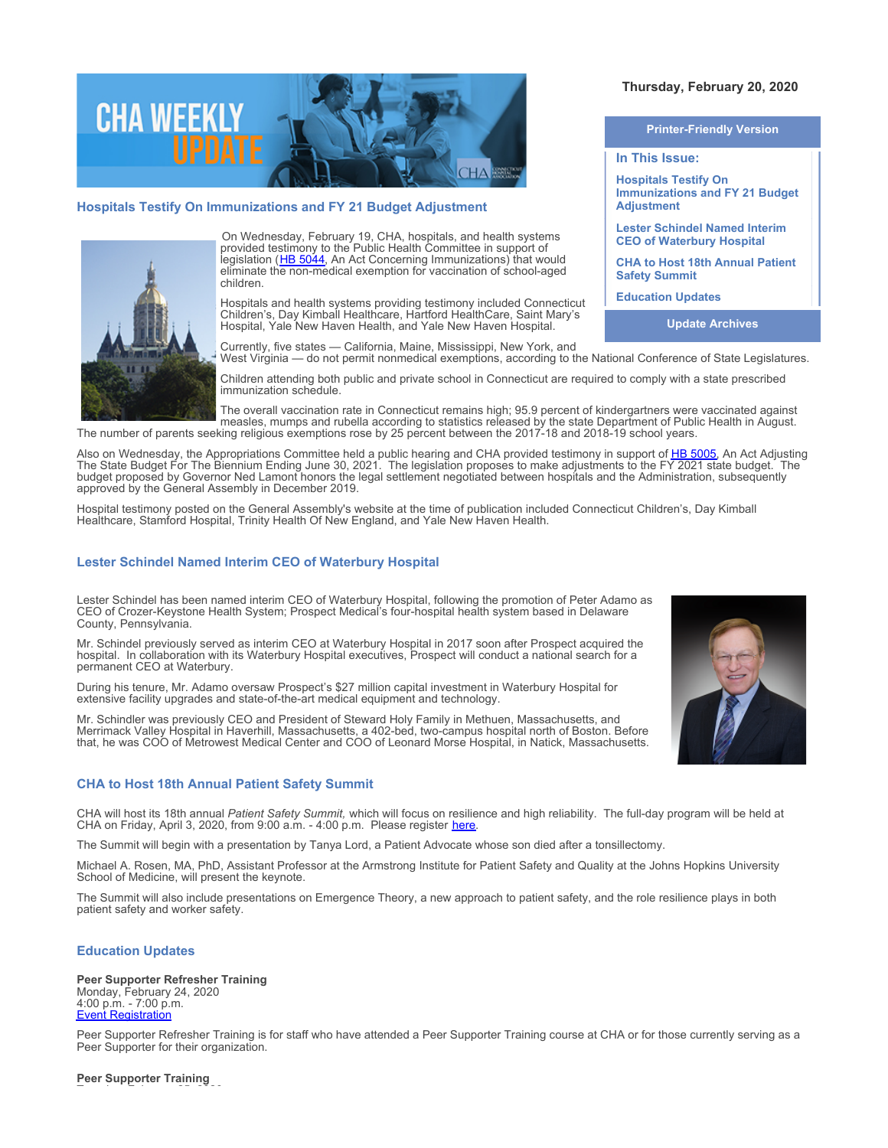

# **Hospitals Testify On Immunizations and FY 21 Budget Adjustment**



On Wednesday, February 19, CHA, hospitals, and health systems provided testimony to the Public Health Committee in support of legislation ([HB 5044](https://www.cga.ct.gov/asp/cgabillstatus/cgabillstatus.asp?selBillType=Bill&which_year=2020&bill_num=5044), An Act Concerning Immunizations) that would eliminate the non-medical exemption for vaccination of school-aged children.

Hospitals and health systems providing testimony included Connecticut Children's, Day Kimball Healthcare, Hartford HealthCare, Saint Mary's Hospital, Yale New Haven Health, and Yale New Haven Hospital.

Currently, five states — California, Maine, Mississippi, New York, and West Virginia — do not permit nonmedical exemptions, according to the National Conference of State Legislatures.

Children attending both public and private school in Connecticut are required to comply with a state prescribed immunization schedule.

The overall vaccination rate in Connecticut remains high; 95.9 percent of kindergartners were vaccinated against measles, mumps and rubella according to statistics released by the state Department of Public Health in August. The number of parents seeking religious exemptions rose by 25 percent between the 2017-18 and 2018-19 school years.

Also on Wednesday, the Appropriations Committee held a public hearing and CHA provided testimony in support of [HB 5005](https://www.cga.ct.gov/asp/cgabillstatus/cgabillstatus.asp?selBillType=Bill&which_year=2020&bill_num=5005). An Act Adjusting The State Budget For The Biennium Ending June 30, 2021. The legislation proposes to make adjustments to the FY 2021 state budget. The budget proposed by Governor Ned Lamont honors the legal settlement negotiated between hospitals and the Administration, subsequently approved by the General Assembly in December 2019.

Hospital testimony posted on the General Assembly's website at the time of publication included Connecticut Children's, Day Kimball Healthcare, Stamford Hospital, Trinity Health Of New England, and Yale New Haven Health.

# **Lester Schindel Named Interim CEO of Waterbury Hospital**

Lester Schindel has been named interim CEO of Waterbury Hospital, following the promotion of Peter Adamo as CEO of Crozer-Keystone Health System; Prospect Medical's four-hospital health system based in Delaware County, Pennsylvania.

Mr. Schindel previously served as interim CEO at Waterbury Hospital in 2017 soon after Prospect acquired the hospital. In collaboration with its Waterbury Hospital executives, Prospect will conduct a national search for a permanent CEO at Waterbury.

During his tenure, Mr. Adamo oversaw Prospect's \$27 million capital investment in Waterbury Hospital for extensive facility upgrades and state-of-the-art medical equipment and technology.

Mr. Schindler was previously CEO and President of Steward Holy Family in Methuen, Massachusetts, and Merrimack Valley Hospital in Haverhill, Massachusetts, a 402-bed, two-campus hospital north of Boston. Before that, he was COO of Metrowest Medical Center and COO of Leonard Morse Hospital, in Natick, Massachusetts.

# **CHA to Host 18th Annual Patient Safety Summit**

CHA will host its 18th annual *Patient Safety Summit,* which will focus on resilience and high reliability. The full-day program will be held at CHA on Friday, April 3, 2020, from 9:00 a.m. - 4:00 p.m. Please register [here](https://cthosp.org/eventcalendar/index.cfm?action=register&date=43924&id=853).

The Summit will begin with a presentation by Tanya Lord, a Patient Advocate whose son died after a tonsillectomy.

Michael A. Rosen, MA, PhD, Assistant Professor at the Armstrong Institute for Patient Safety and Quality at the Johns Hopkins University School of Medicine, will present the keynote.

The Summit will also include presentations on Emergence Theory, a new approach to patient safety, and the role resilience plays in both patient safety and worker safety.

## **Education Updates**

**Peer Supporter Refresher Training** Monday, February 24, 2020 4:00 p.m. - 7:00 p.m. **[Event Registration](https://cthosp.org/eventcalendar/index.cfm?action=register&date=43885&id=852)** 

Peer Supporter Refresher Training is for staff who have attended a Peer Supporter Training course at CHA or for those currently serving as a Peer Supporter for their organization.

### **Peer Supporter Training** Tuesday, February 25, 2020

**Printer-Friendly Version In This Issue: Hospitals Testify On Immunizations and FY 21 Budget Adjustment Lester Schindel Named Interim CEO of Waterbury Hospital CHA to Host 18th Annual Patient Safety Summit Education Updates** 

**Thursday, February 20, 2020** 

**Update Archives**